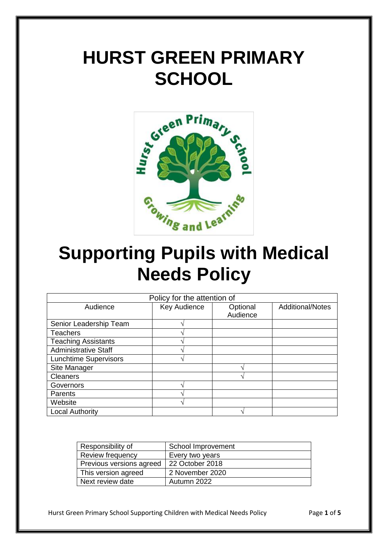# **HURST GREEN PRIMARY SCHOOL**



## **Supporting Pupils with Medical Needs Policy**

| Policy for the attention of  |              |          |                         |
|------------------------------|--------------|----------|-------------------------|
| Audience                     | Key Audience | Optional | <b>Additional/Notes</b> |
|                              |              | Audience |                         |
| Senior Leadership Team       |              |          |                         |
| <b>Teachers</b>              |              |          |                         |
| <b>Teaching Assistants</b>   |              |          |                         |
| <b>Administrative Staff</b>  | ́            |          |                         |
| <b>Lunchtime Supervisors</b> |              |          |                         |
| Site Manager                 |              |          |                         |
| <b>Cleaners</b>              |              |          |                         |
| Governors                    |              |          |                         |
| Parents                      |              |          |                         |
| Website                      | ́            |          |                         |
| <b>Local Authority</b>       |              |          |                         |

| Responsibility of        | School Improvement |
|--------------------------|--------------------|
| Review frequency         | Every two years    |
| Previous versions agreed | 22 October 2018    |
| This version agreed      | 2 November 2020    |
| Next review date         | Autumn 2022        |

Hurst Green Primary School Supporting Children with Medical Needs Policy Page **1** of **5**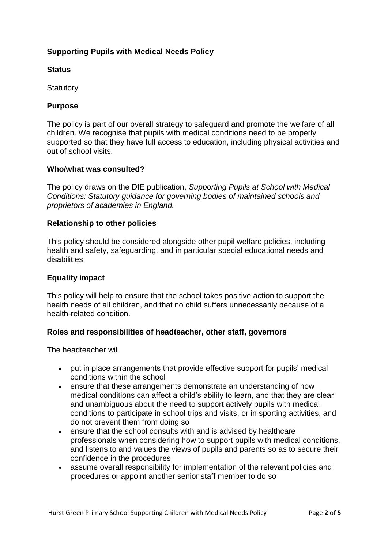## **Supporting Pupils with Medical Needs Policy**

#### **Status**

**Statutory** 

#### **Purpose**

The policy is part of our overall strategy to safeguard and promote the welfare of all children. We recognise that pupils with medical conditions need to be properly supported so that they have full access to education, including physical activities and out of school visits.

#### **Who/what was consulted?**

The policy draws on the DfE publication, *Supporting Pupils at School with Medical Conditions: Statutory guidance for governing bodies of maintained schools and proprietors of academies in England.*

#### **Relationship to other policies**

This policy should be considered alongside other pupil welfare policies, including health and safety, safeguarding, and in particular special educational needs and disabilities.

#### **Equality impact**

This policy will help to ensure that the school takes positive action to support the health needs of all children, and that no child suffers unnecessarily because of a health-related condition.

#### **Roles and responsibilities of headteacher, other staff, governors**

The headteacher will

- put in place arrangements that provide effective support for pupils' medical conditions within the school
- ensure that these arrangements demonstrate an understanding of how medical conditions can affect a child's ability to learn, and that they are clear and unambiguous about the need to support actively pupils with medical conditions to participate in school trips and visits, or in sporting activities, and do not prevent them from doing so
- ensure that the school consults with and is advised by healthcare professionals when considering how to support pupils with medical conditions, and listens to and values the views of pupils and parents so as to secure their confidence in the procedures
- assume overall responsibility for implementation of the relevant policies and procedures or appoint another senior staff member to do so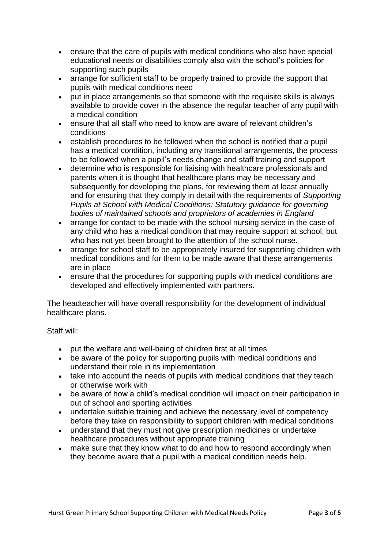- ensure that the care of pupils with medical conditions who also have special educational needs or disabilities comply also with the school's policies for supporting such pupils
- arrange for sufficient staff to be properly trained to provide the support that pupils with medical conditions need
- put in place arrangements so that someone with the requisite skills is always available to provide cover in the absence the regular teacher of any pupil with a medical condition
- ensure that all staff who need to know are aware of relevant children's conditions
- establish procedures to be followed when the school is notified that a pupil has a medical condition, including any transitional arrangements, the process to be followed when a pupil's needs change and staff training and support
- determine who is responsible for liaising with healthcare professionals and parents when it is thought that healthcare plans may be necessary and subsequently for developing the plans, for reviewing them at least annually and for ensuring that they comply in detail with the requirements of *Supporting Pupils at School with Medical Conditions: Statutory guidance for governing bodies of maintained schools and proprietors of academies in England*
- arrange for contact to be made with the school nursing service in the case of any child who has a medical condition that may require support at school, but who has not yet been brought to the attention of the school nurse.
- arrange for school staff to be appropriately insured for supporting children with medical conditions and for them to be made aware that these arrangements are in place
- ensure that the procedures for supporting pupils with medical conditions are developed and effectively implemented with partners.

The headteacher will have overall responsibility for the development of individual healthcare plans.

Staff will:

- put the welfare and well-being of children first at all times
- be aware of the policy for supporting pupils with medical conditions and understand their role in its implementation
- take into account the needs of pupils with medical conditions that they teach or otherwise work with
- be aware of how a child's medical condition will impact on their participation in out of school and sporting activities
- undertake suitable training and achieve the necessary level of competency before they take on responsibility to support children with medical conditions
- understand that they must not give prescription medicines or undertake healthcare procedures without appropriate training
- make sure that they know what to do and how to respond accordingly when they become aware that a pupil with a medical condition needs help.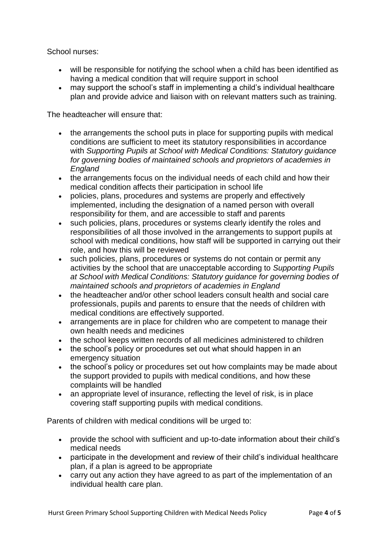School nurses:

- will be responsible for notifying the school when a child has been identified as having a medical condition that will require support in school
- may support the school's staff in implementing a child's individual healthcare plan and provide advice and liaison with on relevant matters such as training.

The headteacher will ensure that:

- the arrangements the school puts in place for supporting pupils with medical conditions are sufficient to meet its statutory responsibilities in accordance with *Supporting Pupils at School with Medical Conditions: Statutory guidance for governing bodies of maintained schools and proprietors of academies in England*
- the arrangements focus on the individual needs of each child and how their medical condition affects their participation in school life
- policies, plans, procedures and systems are properly and effectively implemented, including the designation of a named person with overall responsibility for them, and are accessible to staff and parents
- such policies, plans, procedures or systems clearly identify the roles and responsibilities of all those involved in the arrangements to support pupils at school with medical conditions, how staff will be supported in carrying out their role, and how this will be reviewed
- such policies, plans, procedures or systems do not contain or permit any activities by the school that are unacceptable according to *Supporting Pupils at School with Medical Conditions: Statutory guidance for governing bodies of maintained schools and proprietors of academies in England*
- the headteacher and/or other school leaders consult health and social care professionals, pupils and parents to ensure that the needs of children with medical conditions are effectively supported.
- arrangements are in place for children who are competent to manage their own health needs and medicines
- the school keeps written records of all medicines administered to children
- the school's policy or procedures set out what should happen in an emergency situation
- the school's policy or procedures set out how complaints may be made about the support provided to pupils with medical conditions, and how these complaints will be handled
- an appropriate level of insurance, reflecting the level of risk, is in place covering staff supporting pupils with medical conditions.

Parents of children with medical conditions will be urged to:

- provide the school with sufficient and up-to-date information about their child's medical needs
- participate in the development and review of their child's individual healthcare plan, if a plan is agreed to be appropriate
- carry out any action they have agreed to as part of the implementation of an individual health care plan.